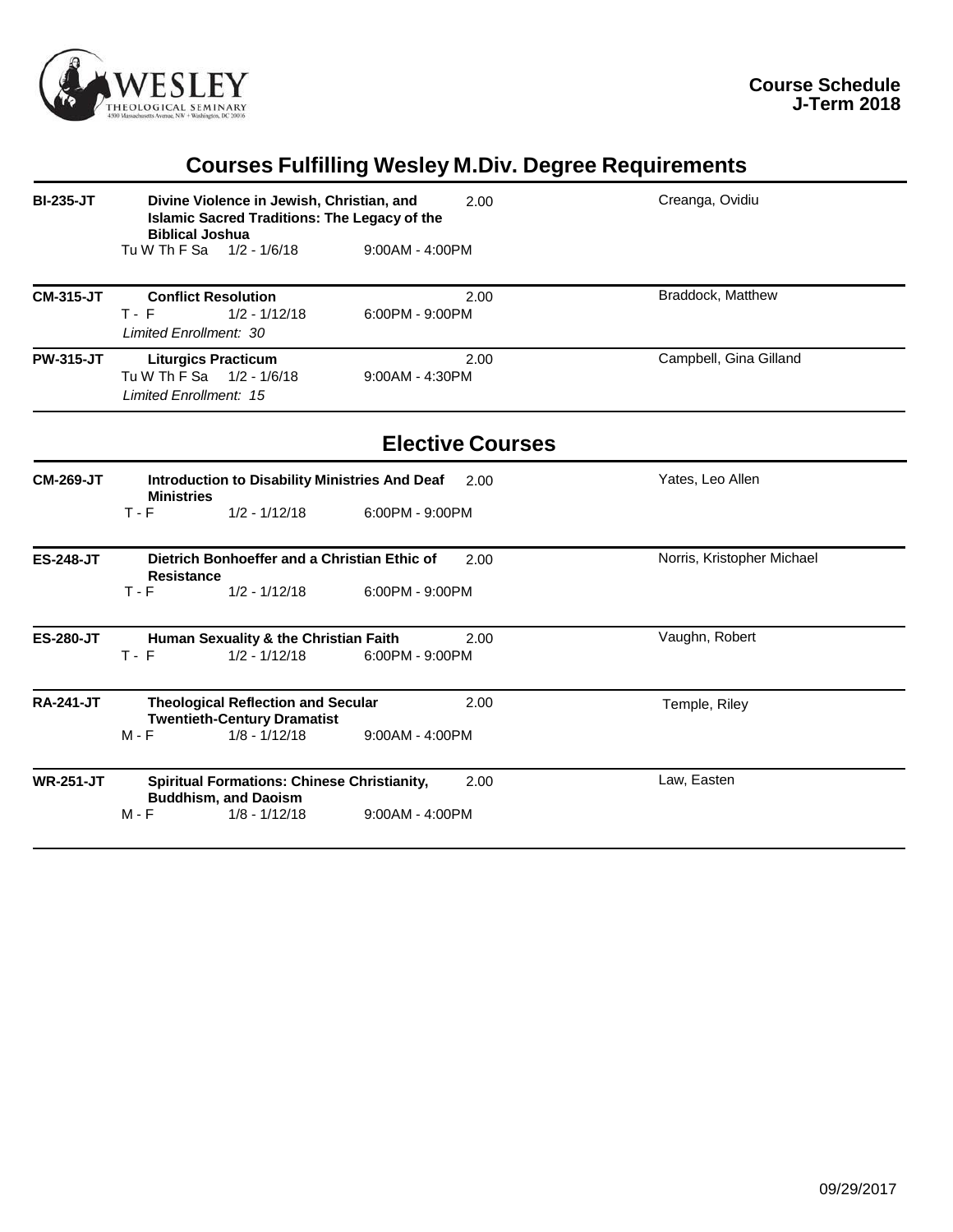

# **Courses Fulfilling Wesley M.Div. Degree Requirements**

| <b>BI-235-JT</b> | Divine Violence in Jewish, Christian, and<br><b>Islamic Sacred Traditions: The Legacy of the</b><br><b>Biblical Joshua</b> | 2.00                      | Creanga, Ovidiu            |
|------------------|----------------------------------------------------------------------------------------------------------------------------|---------------------------|----------------------------|
|                  | Tu W Th F Sa 1/2 - 1/6/18                                                                                                  | $9:00AM - 4:00PM$         |                            |
| <b>CM-315-JT</b> | <b>Conflict Resolution</b><br>$T - F$<br>$1/2 - 1/12/18$<br>Limited Enrollment: 30                                         | 2.00<br>$6:00PM - 9:00PM$ | Braddock, Matthew          |
| <b>PW-315-JT</b> | <b>Liturgics Practicum</b><br>Tu W Th F Sa 1/2 - 1/6/18<br>Limited Enrollment: 15                                          | 2.00<br>9:00AM - 4:30PM   | Campbell, Gina Gilland     |
|                  |                                                                                                                            | <b>Elective Courses</b>   |                            |
| <b>CM-269-JT</b> | Introduction to Disability Ministries And Deaf<br><b>Ministries</b>                                                        | 2.00                      | Yates, Leo Allen           |
|                  | $T - F$<br>$1/2 - 1/12/18$                                                                                                 | 6:00PM - 9:00PM           |                            |
| <b>ES-248-JT</b> | Dietrich Bonhoeffer and a Christian Ethic of<br><b>Resistance</b>                                                          | 2.00                      | Norris, Kristopher Michael |
|                  | $1/2 - 1/12/18$<br>$T - F$                                                                                                 | 6:00PM - 9:00PM           |                            |
| <b>ES-280-JT</b> | Human Sexuality & the Christian Faith<br>$1/2 - 1/12/18$<br>$T - F$                                                        | 2.00<br>6:00PM - 9:00PM   | Vaughn, Robert             |
| <b>RA-241-JT</b> | <b>Theological Reflection and Secular</b><br><b>Twentieth-Century Dramatist</b>                                            | 2.00                      | Temple, Riley              |
|                  | $M - F$<br>$1/8 - 1/12/18$                                                                                                 | 9:00AM - 4:00PM           |                            |
| <b>WR-251-JT</b> | <b>Spiritual Formations: Chinese Christianity,</b><br><b>Buddhism, and Daoism</b>                                          | 2.00                      | Law, Easten                |
|                  | $M - F$<br>$1/8 - 1/12/18$                                                                                                 | $9:00AM - 4:00PM$         |                            |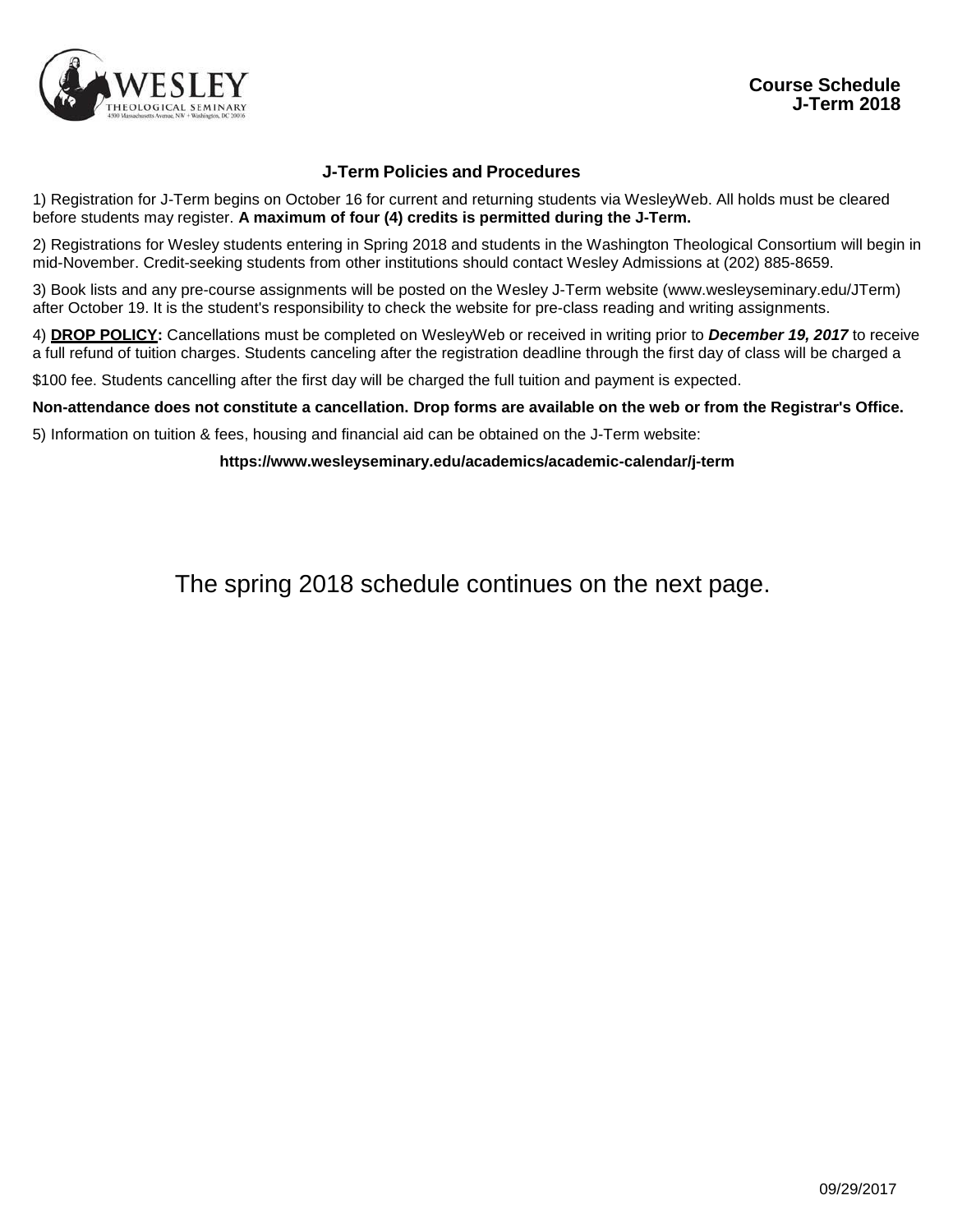

### **J-Term Policies and Procedures**

1) Registration for J-Term begins on October 16 for current and returning students via WesleyWeb. All holds must be cleared before students may register. **A maximum of four (4) credits is permitted during the J-Term.**

2) Registrations for Wesley students entering in Spring 2018 and students in the Washington Theological Consortium will begin in mid-November. Credit-seeking students from other institutions should contact Wesley Admissions at (202) 885-8659.

3) Book lists and any pre-course assignments will be posted on the Wesley J-Term website [\(www.wesleyseminary.edu/JTerm\)](http://www.wesleyseminary.edu/JTerm)) after October 19. It is the student's responsibility to check the website for pre-class reading and writing assignments.

4) **DROP POLICY:** Cancellations must be completed on WesleyWeb or received in writing prior to *December 19, 2017* to receive a full refund of tuition charges. Students canceling after the registration deadline through the first day of class will be charged a

\$100 fee. Students cancelling after the first day will be charged the full tuition and payment is expected.

Non-attendance does not constitute a cancellation. Drop forms are available on the web or from the Registrar's Office.

5) Information on tuition & fees, housing and financial aid can be obtained on the J-Term website:

**https:/[/www.wesleyseminary.edu/academics/academic-calendar/j-term](http://www.wesleyseminary.edu/academics/academic-calendar/j-term)**

The spring 2018 schedule continues on the next page.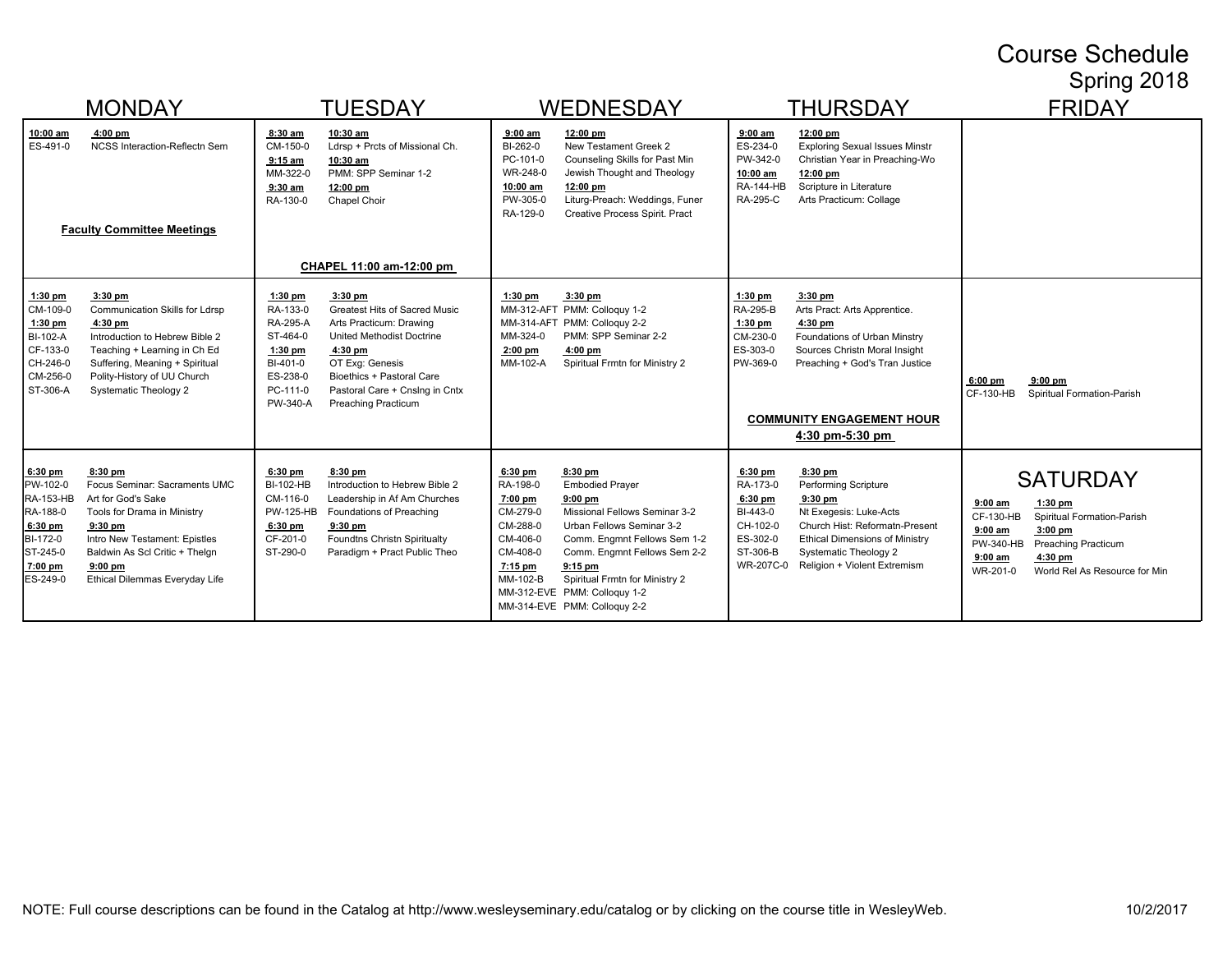## Course Schedule Spring 2018

|                                                                                                                 | <b>MONDAY</b>                                                                                                                                                                                                                | <b>TUESDAY</b>                                                                                                                                                                                                                                                                                                                                        | WEDNESDAY                                                                                                                                                                                                                                                                                                                                                                                              | <b>THURSDAY</b>                                                                                                                                                                                                                                                                                                      | <b>FRIDAY</b>                                                                                                                                                                                                                    |
|-----------------------------------------------------------------------------------------------------------------|------------------------------------------------------------------------------------------------------------------------------------------------------------------------------------------------------------------------------|-------------------------------------------------------------------------------------------------------------------------------------------------------------------------------------------------------------------------------------------------------------------------------------------------------------------------------------------------------|--------------------------------------------------------------------------------------------------------------------------------------------------------------------------------------------------------------------------------------------------------------------------------------------------------------------------------------------------------------------------------------------------------|----------------------------------------------------------------------------------------------------------------------------------------------------------------------------------------------------------------------------------------------------------------------------------------------------------------------|----------------------------------------------------------------------------------------------------------------------------------------------------------------------------------------------------------------------------------|
| 10:00 am<br>ES-491-0                                                                                            | $4:00$ pm<br><b>NCSS Interaction-Reflectn Sem</b><br><b>Faculty Committee Meetings</b>                                                                                                                                       | 8:30 am<br>10:30 am<br>Ldrsp + Prcts of Missional Ch.<br>CM-150-0<br>$9:15$ am<br>10:30 am<br>MM-322-0<br>PMM: SPP Seminar 1-2<br>$9:30$ am<br>12:00 pm<br>RA-130-0<br>Chapel Choir<br>CHAPEL 11:00 am-12:00 pm                                                                                                                                       | $9:00$ am<br>12:00 pm<br>BI-262-0<br>New Testament Greek 2<br>Counseling Skills for Past Min<br>PC-101-0<br>WR-248-0<br>Jewish Thought and Theology<br>10:00 am<br>12:00 pm<br>Liturg-Preach: Weddings, Funer<br>PW-305-0<br>RA-129-0<br>Creative Process Spirit. Pract                                                                                                                                | $9:00$ am<br>12:00 pm<br><b>Exploring Sexual Issues Minstr</b><br>ES-234-0<br>PW-342-0<br>Christian Year in Preaching-Wo<br>10:00 am<br>12:00 pm<br>Scripture in Literature<br><b>RA-144-HB</b><br><b>RA-295-C</b><br>Arts Practicum: Collage                                                                        |                                                                                                                                                                                                                                  |
| $1:30$ pm<br>CM-109-0<br>$1:30$ pm<br>BI-102-A<br>CF-133-0<br>CH-246-0<br>CM-256-0<br>ST-306-A                  | 3:30 pm<br>Communication Skills for Ldrsp<br>4:30 pm<br>Introduction to Hebrew Bible 2<br>Teaching + Learning in Ch Ed<br>Suffering, Meaning + Spiritual<br>Polity-History of UU Church<br><b>Systematic Theology 2</b>      | 3:30 pm<br>1:30 pm<br>RA-133-0<br><b>Greatest Hits of Sacred Music</b><br><b>RA-295-A</b><br>Arts Practicum: Drawing<br>ST-464-0<br>United Methodist Doctrine<br>$1:30$ pm<br>4:30 pm<br>BI-401-0<br>OT Exq: Genesis<br>ES-238-0<br>Bioethics + Pastoral Care<br>PC-111-0<br>Pastoral Care + Cnslng in Cntx<br>PW-340-A<br><b>Preaching Practicum</b> | $1:30$ pm<br>3:30 pm<br>MM-312-AFT PMM: Colloquy 1-2<br>MM-314-AFT PMM: Colloquy 2-2<br>MM-324-0<br>PMM: SPP Seminar 2-2<br>$2:00$ pm<br>$4:00$ pm<br>Spiritual Frmtn for Ministry 2<br>MM-102-A                                                                                                                                                                                                       | 3:30 pm<br>$1:30$ pm<br>RA-295-B<br>Arts Pract: Arts Apprentice.<br>$1:30$ pm<br>$4:30$ pm<br>CM-230-0<br>Foundations of Urban Minstry<br>ES-303-0<br>Sources Christn Moral Insight<br>PW-369-0<br>Preaching + God's Tran Justice<br><b>COMMUNITY ENGAGEMENT HOUR</b><br>4:30 pm-5:30 pm                             | $9:00$ pm<br>$6:00$ pm<br>CF-130-HB<br>Spiritual Formation-Parish                                                                                                                                                                |
| $6:30$ pm<br>PW-102-0<br><b>RA-153-HB</b><br>RA-188-0<br>6:30 pm<br>BI-172-0<br>ST-245-0<br>7:00 pm<br>ES-249-0 | 8:30 pm<br>Focus Seminar: Sacraments UMC<br>Art for God's Sake<br>Tools for Drama in Ministry<br>$9:30$ pm<br>Intro New Testament: Epistles<br>Baldwin As Scl Critic + Thelgn<br>$9:00$ pm<br>Ethical Dilemmas Everyday Life | $6:30$ pm<br>$8:30$ pm<br><b>BI-102-HB</b><br>Introduction to Hebrew Bible 2<br>CM-116-0<br>Leadership in Af Am Churches<br><b>PW-125-HB</b><br>Foundations of Preaching<br>$6:30$ pm<br>$9:30$ pm<br>Foundtns Christn Spiritualty<br>CF-201-0<br>ST-290-0<br>Paradigm + Pract Public Theo                                                            | $6:30$ pm<br>8:30 pm<br>RA-198-0<br><b>Embodied Prayer</b><br>7:00 pm<br>$9:00$ pm<br>CM-279-0<br>Missional Fellows Seminar 3-2<br>CM-288-0<br>Urban Fellows Seminar 3-2<br>CM-406-0<br>Comm. Engmnt Fellows Sem 1-2<br>CM-408-0<br>Comm. Engmnt Fellows Sem 2-2<br>7:15 pm<br>$9:15$ pm<br>MM-102-B<br>Spiritual Frmtn for Ministry 2<br>MM-312-EVE PMM: Colloguy 1-2<br>MM-314-EVE PMM: Colloguy 2-2 | $6:30$ pm<br>$8:30$ pm<br>RA-173-0<br>Performing Scripture<br>6:30 pm<br>$9:30$ pm<br>BI-443-0<br>Nt Exegesis: Luke-Acts<br>CH-102-0<br>Church Hist: Reformatn-Present<br>ES-302-0<br><b>Ethical Dimensions of Ministry</b><br>ST-306-B<br><b>Systematic Theology 2</b><br>WR-207C-0<br>Religion + Violent Extremism | <b>SATURDAY</b><br>$9:00$ am<br>$1:30$ pm<br>Spiritual Formation-Parish<br>CF-130-HB<br>$9:00$ am<br>$3:00$ pm<br>PW-340-HB<br><b>Preaching Practicum</b><br>$9:00$ am<br>$4:30$ pm<br>WR-201-0<br>World Rel As Resource for Min |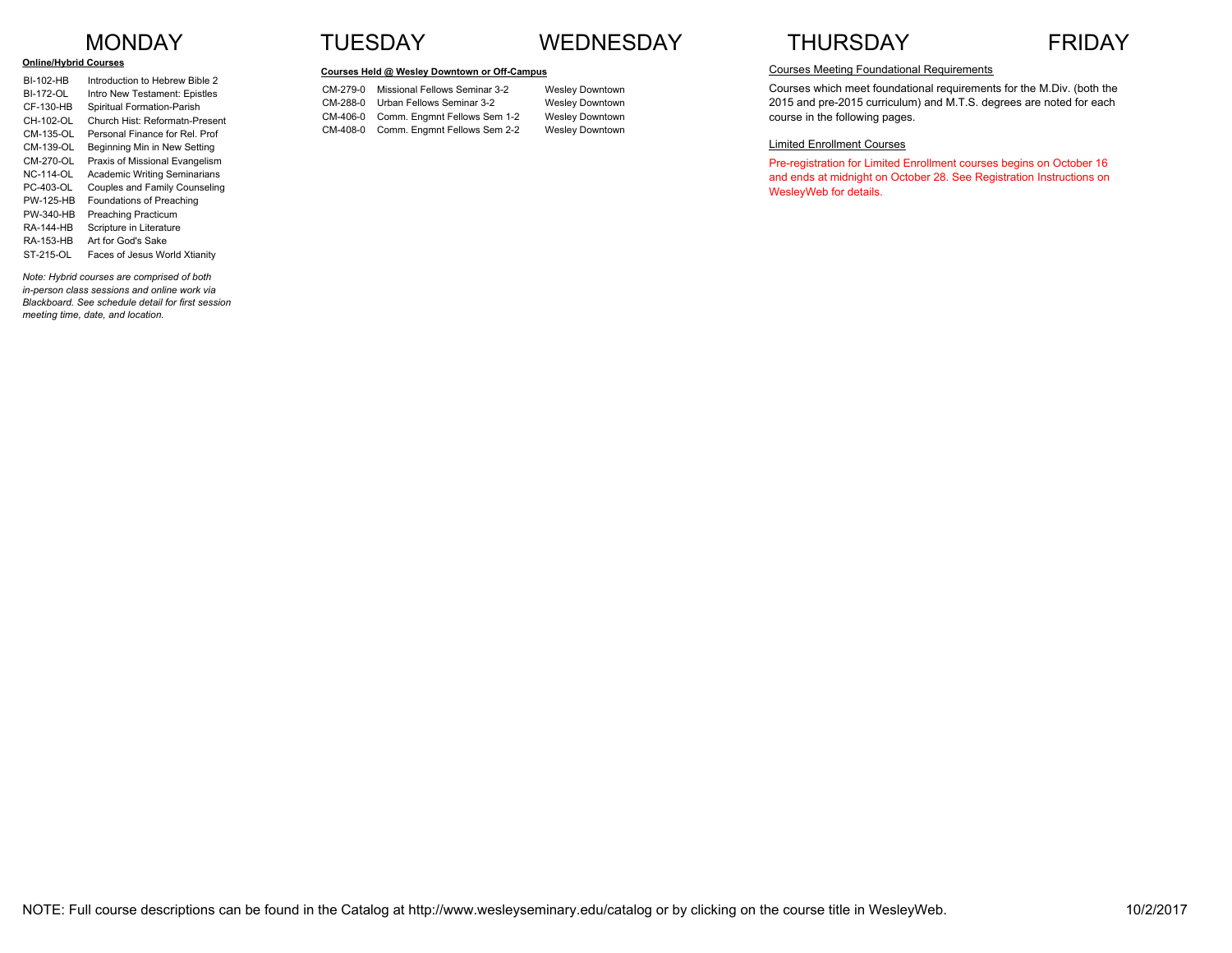#### **Online/Hybrid Courses**

| BI-102-HB        | Introduction to Hebrew Bible 2      |
|------------------|-------------------------------------|
| BI-172-OL        | Intro New Testament: Epistles       |
| CF-130-HB        | Spiritual Formation-Parish          |
| CH-102-OL        | Church Hist: Reformatn-Present      |
| CM-135-OL        | Personal Finance for Rel. Prof      |
| CM-139-OL        | Beginning Min in New Setting        |
| $CM-270-OI$      | Praxis of Missional Evangelism      |
| NC-114-OL        | <b>Academic Writing Seminarians</b> |
| PC-403-OL        | Couples and Family Counseling       |
| <b>PW-125-HB</b> | Foundations of Preaching            |
| PW-340-HB        | <b>Preaching Practicum</b>          |
| RA-144-HR        | Scripture in Literature             |
| RA-153-HB        | Art for God's Sake                  |
| ST-215-OL        | Faces of Jesus World Xtianity       |
|                  |                                     |

*Note: Hybrid courses are comprised of both in-person class sessions and online work via Blackboard. See schedule detail for first session meeting time, date, and location.*

### MONDAY TUESDAY WEDNESDAY THURSDAY FRIDAY

#### **Courses Held @ Wesley Downtown or Off-Campus**

CM-279-0 Missional Fellows Seminar 3-2 Wesley Downtown CM-288-0 Urban Fellows Seminar 3-2 Wesley Downtown CM-406-0 Comm. Engmnt Fellows Sem 1-2 Wesley Downtown CM-408-0 Comm. Engmnt Fellows Sem 2-2 Wesley Downtown



#### Courses Meeting Foundational Requirements

Courses which meet foundational requirements for the M.Div. (both the 2015 and pre-2015 curriculum) and M.T.S. degrees are noted for each course in the following pages.

#### Limited Enrollment Courses

Pre-registration for Limited Enrollment courses begins on October 16 and ends at midnight on October 28. See Registration Instructions on WesleyWeb for details.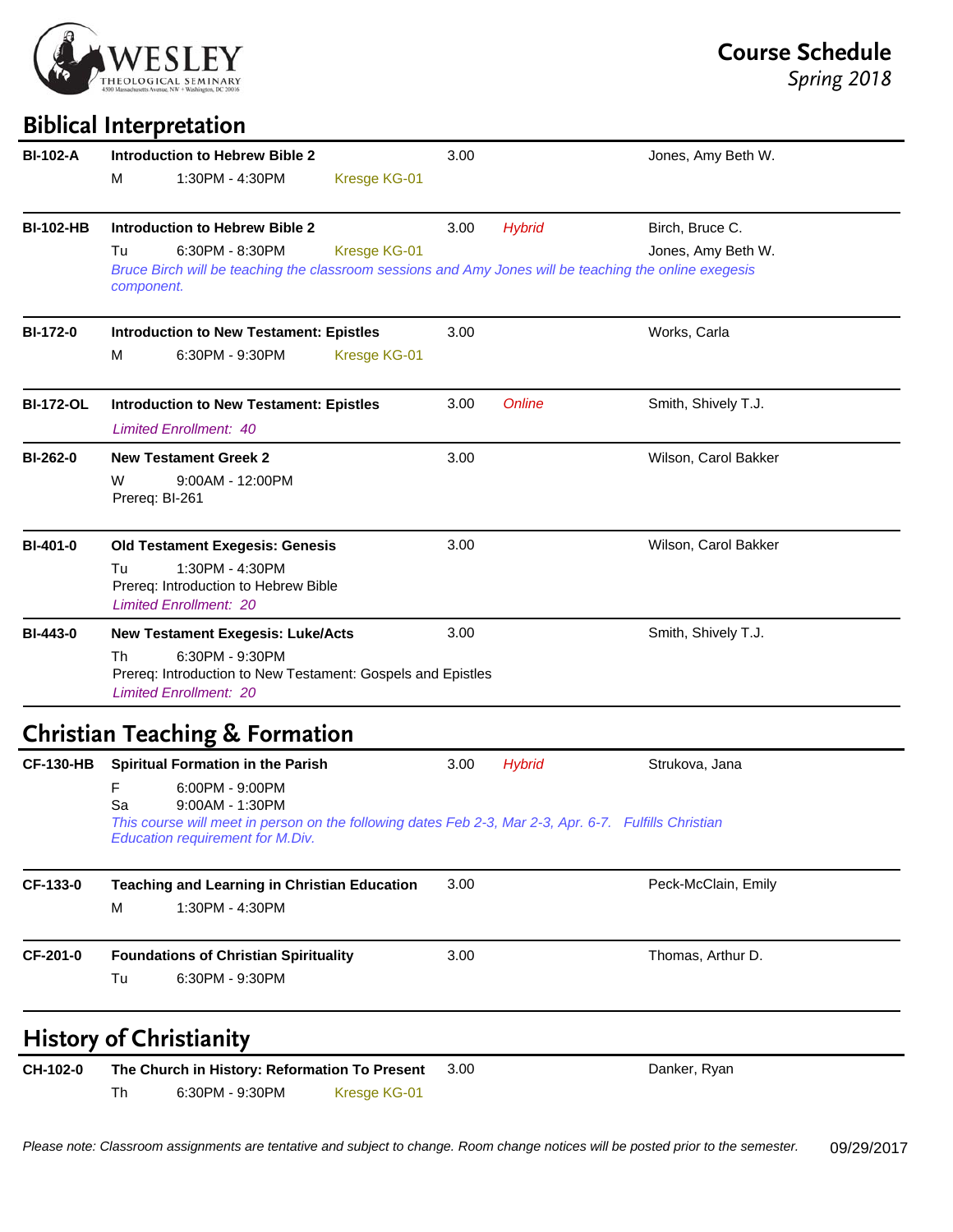

# **Biblical Interpretation**

| <b>BI-102-A</b>  | <b>Introduction to Hebrew Bible 2</b>                                                                                                                                                                                                  | 3.00                 | Jones, Amy Beth W.                                                                                                           |
|------------------|----------------------------------------------------------------------------------------------------------------------------------------------------------------------------------------------------------------------------------------|----------------------|------------------------------------------------------------------------------------------------------------------------------|
|                  | 1:30PM - 4:30PM<br>м                                                                                                                                                                                                                   | Kresge KG-01         |                                                                                                                              |
| <b>BI-102-HB</b> | <b>Introduction to Hebrew Bible 2</b>                                                                                                                                                                                                  | 3.00                 | <b>Hybrid</b><br>Birch, Bruce C.                                                                                             |
|                  | 6:30PM - 8:30PM<br>Tu<br>component.                                                                                                                                                                                                    | Kresge KG-01         | Jones, Amy Beth W.<br>Bruce Birch will be teaching the classroom sessions and Amy Jones will be teaching the online exegesis |
| <b>BI-172-0</b>  | <b>Introduction to New Testament: Epistles</b>                                                                                                                                                                                         | 3.00                 | Works, Carla                                                                                                                 |
|                  | M<br>6:30PM - 9:30PM                                                                                                                                                                                                                   | Kresge KG-01         |                                                                                                                              |
| <b>BI-172-OL</b> | <b>Introduction to New Testament: Epistles</b><br><b>Limited Enrollment: 40</b>                                                                                                                                                        | 3.00                 | Online<br>Smith, Shively T.J.                                                                                                |
| <b>BI-262-0</b>  | <b>New Testament Greek 2</b><br>9:00AM - 12:00PM<br>W<br>Prereq: BI-261                                                                                                                                                                | 3.00                 | Wilson, Carol Bakker                                                                                                         |
| <b>BI-401-0</b>  | <b>Old Testament Exegesis: Genesis</b><br>1:30PM - 4:30PM<br>Tu<br>Prereq: Introduction to Hebrew Bible<br><b>Limited Enrollment: 20</b>                                                                                               | 3.00                 | Wilson, Carol Bakker                                                                                                         |
| <b>BI-443-0</b>  | <b>New Testament Exegesis: Luke/Acts</b>                                                                                                                                                                                               | 3.00                 | Smith, Shively T.J.                                                                                                          |
|                  | 6:30PM - 9:30PM<br>Th<br>Prereq: Introduction to New Testament: Gospels and Epistles<br><b>Limited Enrollment: 20</b>                                                                                                                  |                      |                                                                                                                              |
|                  | <b>Christian Teaching &amp; Formation</b>                                                                                                                                                                                              |                      |                                                                                                                              |
| <b>CF-130-HB</b> | <b>Spiritual Formation in the Parish</b><br>6:00PM - 9:00PM<br>F<br>9:00AM - 1:30PM<br>Sa<br>This course will meet in person on the following dates Feb 2-3, Mar 2-3, Apr. 6-7. Fulfills Christian<br>Education requirement for M.Div. | 3.00                 | <b>Hybrid</b><br>Strukova, Jana                                                                                              |
| CF-133-0         | <b>Teaching and Learning in Christian Education</b>                                                                                                                                                                                    | 3.00                 | Peck-McClain, Emily                                                                                                          |
|                  | 1:30PM - 4:30PM<br>M                                                                                                                                                                                                                   |                      |                                                                                                                              |
| CF-201-0         | <b>Foundations of Christian Spirituality</b>                                                                                                                                                                                           | 3.00                 | Thomas, Arthur D.                                                                                                            |
|                  | Tu<br>6:30PM - 9:30PM                                                                                                                                                                                                                  |                      |                                                                                                                              |
|                  | <b>History of Christianity</b>                                                                                                                                                                                                         |                      |                                                                                                                              |
| CH-102-0         | The Church in History: Reformation To Present<br>Th<br>6:30PM - 9:30PM                                                                                                                                                                 | 3.00<br>Kresge KG-01 | Danker, Ryan                                                                                                                 |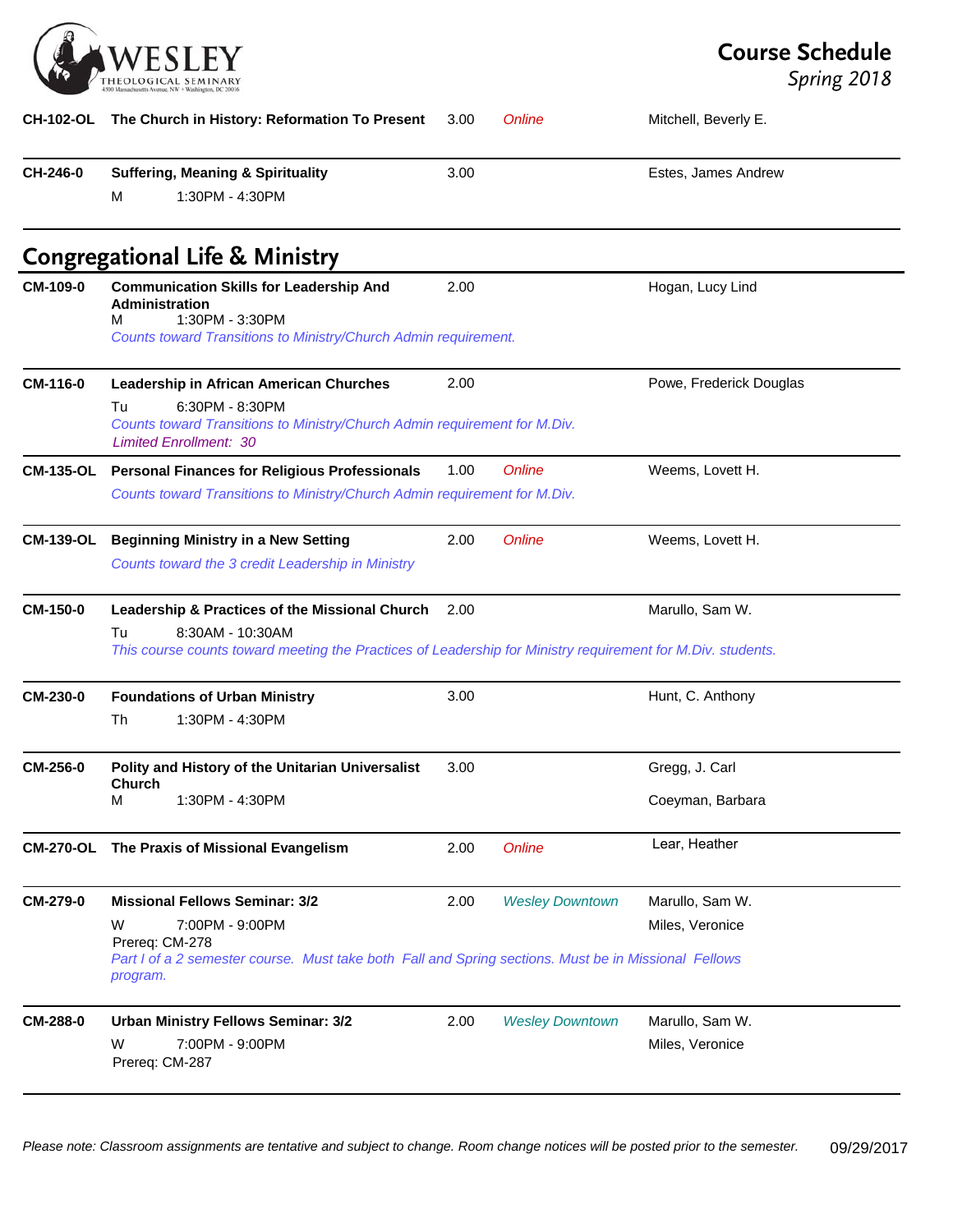

**Course Schedule**

| <b>CH-102-OL</b> | The Church in History: Reformation To Present                                                                                                                                                       | 3.00 | Online                 | Mitchell, Beverly E.               |
|------------------|-----------------------------------------------------------------------------------------------------------------------------------------------------------------------------------------------------|------|------------------------|------------------------------------|
| CH-246-0         | <b>Suffering, Meaning &amp; Spirituality</b><br>1:30PM - 4:30PM<br>М                                                                                                                                | 3.00 |                        | Estes, James Andrew                |
|                  | <b>Congregational Life &amp; Ministry</b>                                                                                                                                                           |      |                        |                                    |
| CM-109-0         | <b>Communication Skills for Leadership And</b><br>Administration<br>1:30PM - 3:30PM<br>м<br>Counts toward Transitions to Ministry/Church Admin requirement.                                         | 2.00 |                        | Hogan, Lucy Lind                   |
| CM-116-0         | Leadership in African American Churches<br>Tu<br>6:30PM - 8:30PM<br>Counts toward Transitions to Ministry/Church Admin requirement for M.Div.<br><b>Limited Enrollment: 30</b>                      | 2.00 |                        | Powe, Frederick Douglas            |
| <b>CM-135-OL</b> | <b>Personal Finances for Religious Professionals</b><br>Counts toward Transitions to Ministry/Church Admin requirement for M.Div.                                                                   | 1.00 | Online                 | Weems, Lovett H.                   |
| <b>CM-139-OL</b> | <b>Beginning Ministry in a New Setting</b><br>Counts toward the 3 credit Leadership in Ministry                                                                                                     | 2.00 | Online                 | Weems, Lovett H.                   |
| <b>CM-150-0</b>  | Leadership & Practices of the Missional Church<br>8:30AM - 10:30AM<br>Tu<br>This course counts toward meeting the Practices of Leadership for Ministry requirement for M.Div. students.             | 2.00 |                        | Marullo, Sam W.                    |
| CM-230-0         | <b>Foundations of Urban Ministry</b><br>1:30PM - 4:30PM<br>Th                                                                                                                                       | 3.00 |                        | Hunt, C. Anthony                   |
| <b>CM-256-0</b>  | Polity and History of the Unitarian Universalist<br><b>Church</b><br>1:30PM - 4:30PM<br>M                                                                                                           | 3.00 |                        | Gregg, J. Carl<br>Coeyman, Barbara |
| <b>CM-270-OL</b> | The Praxis of Missional Evangelism                                                                                                                                                                  | 2.00 | <b>Online</b>          | Lear, Heather                      |
| CM-279-0         | <b>Missional Fellows Seminar: 3/2</b><br>7:00PM - 9:00PM<br>W<br>Prereq: CM-278<br>Part I of a 2 semester course. Must take both Fall and Spring sections. Must be in Missional Fellows<br>program. | 2.00 | <b>Wesley Downtown</b> | Marullo, Sam W.<br>Miles, Veronice |
| <b>CM-288-0</b>  | <b>Urban Ministry Fellows Seminar: 3/2</b><br>7:00PM - 9:00PM<br>W<br>Prereq: CM-287                                                                                                                | 2.00 | <b>Wesley Downtown</b> | Marullo, Sam W.<br>Miles, Veronice |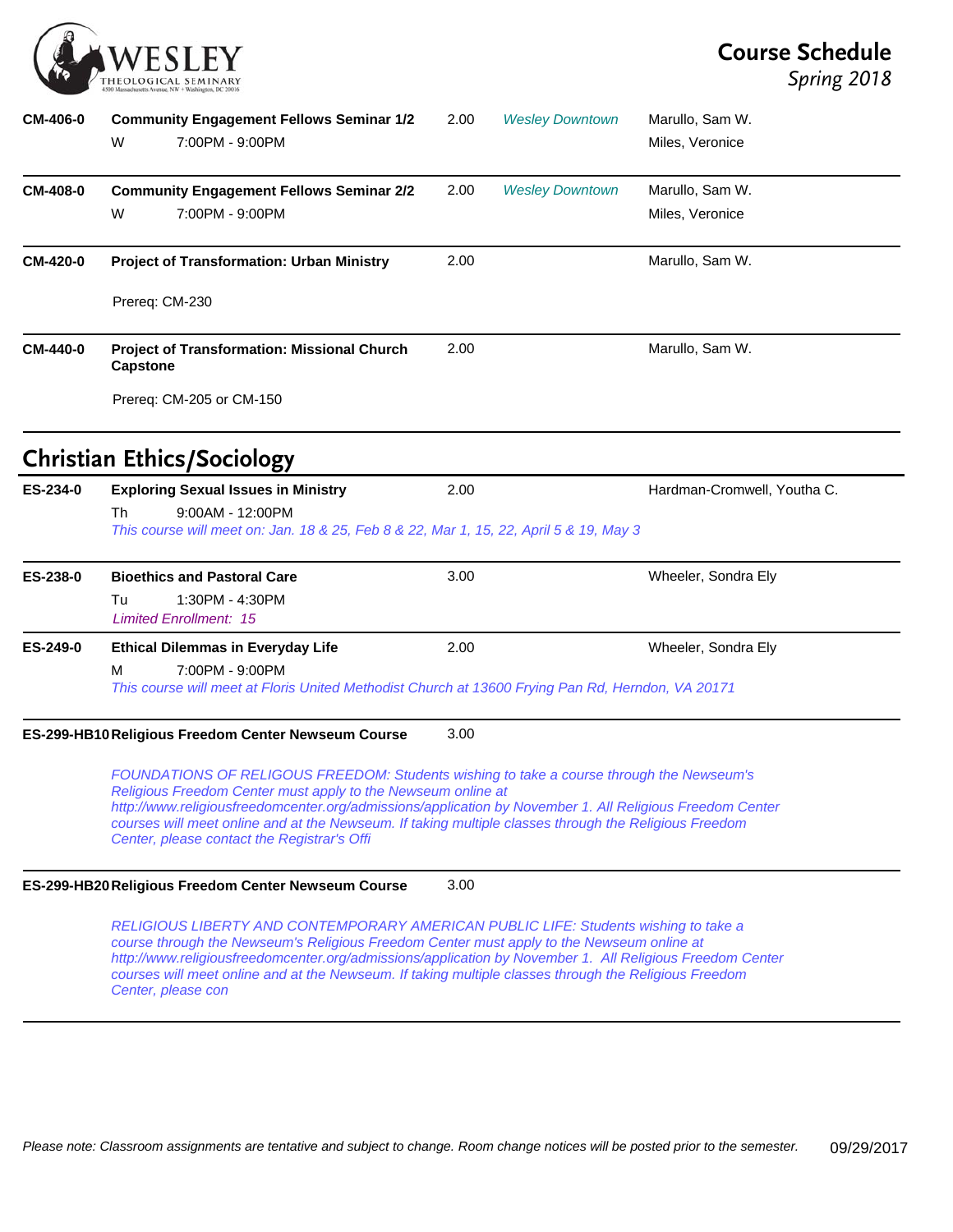

# **Course Schedule**

| CM-406-0        | <b>Community Engagement Fellows Seminar 1/2</b>                                                                                                                                                                                                                                                                                                                                                                              | 2.00 | <b>Wesley Downtown</b> | Marullo, Sam W.             |
|-----------------|------------------------------------------------------------------------------------------------------------------------------------------------------------------------------------------------------------------------------------------------------------------------------------------------------------------------------------------------------------------------------------------------------------------------------|------|------------------------|-----------------------------|
|                 | 7:00PM - 9:00PM<br>W                                                                                                                                                                                                                                                                                                                                                                                                         |      |                        | Miles, Veronice             |
| <b>CM-408-0</b> | <b>Community Engagement Fellows Seminar 2/2</b>                                                                                                                                                                                                                                                                                                                                                                              | 2.00 | <b>Wesley Downtown</b> | Marullo, Sam W.             |
|                 | W<br>7:00PM - 9:00PM                                                                                                                                                                                                                                                                                                                                                                                                         |      |                        | Miles, Veronice             |
| <b>CM-420-0</b> | <b>Project of Transformation: Urban Ministry</b>                                                                                                                                                                                                                                                                                                                                                                             | 2.00 |                        | Marullo, Sam W.             |
|                 | Prereq: CM-230                                                                                                                                                                                                                                                                                                                                                                                                               |      |                        |                             |
| <b>CM-440-0</b> | <b>Project of Transformation: Missional Church</b><br><b>Capstone</b>                                                                                                                                                                                                                                                                                                                                                        | 2.00 |                        | Marullo, Sam W.             |
|                 | Prereq: CM-205 or CM-150                                                                                                                                                                                                                                                                                                                                                                                                     |      |                        |                             |
|                 | <b>Christian Ethics/Sociology</b>                                                                                                                                                                                                                                                                                                                                                                                            |      |                        |                             |
| ES-234-0        | <b>Exploring Sexual Issues in Ministry</b>                                                                                                                                                                                                                                                                                                                                                                                   | 2.00 |                        | Hardman-Cromwell, Youtha C. |
|                 | 9:00AM - 12:00PM<br>Th<br>This course will meet on: Jan. 18 & 25, Feb 8 & 22, Mar 1, 15, 22, April 5 & 19, May 3                                                                                                                                                                                                                                                                                                             |      |                        |                             |
| ES-238-0        | <b>Bioethics and Pastoral Care</b>                                                                                                                                                                                                                                                                                                                                                                                           | 3.00 |                        | Wheeler, Sondra Ely         |
|                 | 1:30PM - 4:30PM<br>Tu<br><b>Limited Enrollment: 15</b>                                                                                                                                                                                                                                                                                                                                                                       |      |                        |                             |
| ES-249-0        | <b>Ethical Dilemmas in Everyday Life</b>                                                                                                                                                                                                                                                                                                                                                                                     | 2.00 |                        | Wheeler, Sondra Ely         |
|                 | 7:00PM - 9:00PM<br>м<br>This course will meet at Floris United Methodist Church at 13600 Frying Pan Rd, Herndon, VA 20171                                                                                                                                                                                                                                                                                                    |      |                        |                             |
|                 | ES-299-HB10 Religious Freedom Center Newseum Course                                                                                                                                                                                                                                                                                                                                                                          | 3.00 |                        |                             |
|                 | FOUNDATIONS OF RELIGOUS FREEDOM: Students wishing to take a course through the Newseum's<br>Religious Freedom Center must apply to the Newseum online at<br>http://www.religiousfreedomcenter.org/admissions/application by November 1. All Religious Freedom Center<br>courses will meet online and at the Newseum. If taking multiple classes through the Religious Freedom<br>Center, please contact the Registrar's Offi |      |                        |                             |
|                 | ES-299-HB20 Religious Freedom Center Newseum Course                                                                                                                                                                                                                                                                                                                                                                          | 3.00 |                        |                             |
|                 | RELIGIOUS LIBERTY AND CONTEMPORARY AMERICAN PUBLIC LIFE: Students wishing to take a<br>course through the Newseum's Religious Freedom Center must apply to the Newseum online at<br>http://www.religiousfreedomcenter.org/admissions/application by November 1. All Religious Freedom Center<br>courses will meet online and at the Newseum. If taking multiple classes through the Religious Freedom<br>Center, please con  |      |                        |                             |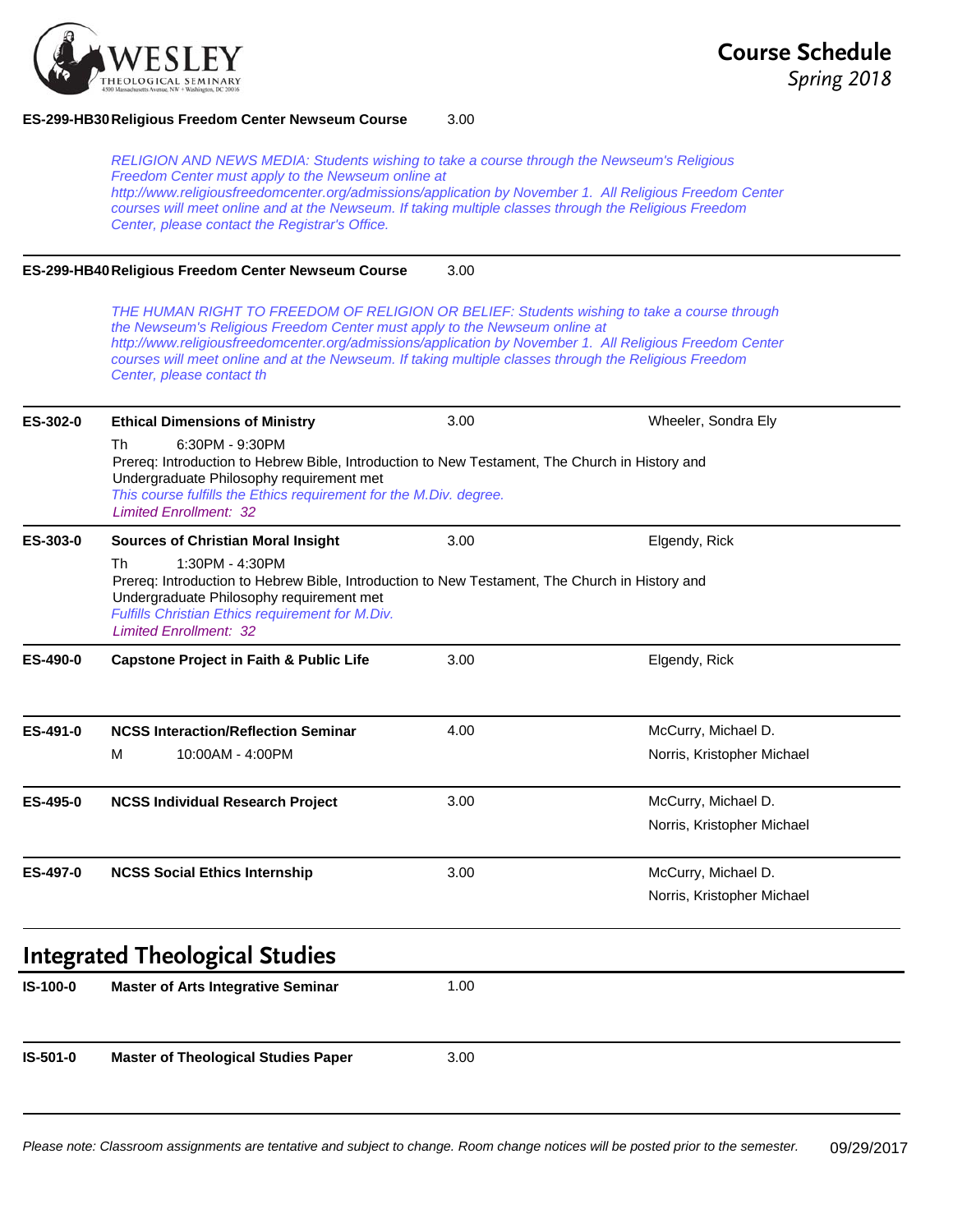

### **ES-299-HB30Religious Freedom Center Newseum Course** 3.00

*RELIGION AND NEWS MEDIA: Students wishing to take a course through the Newseum's Religious Freedom Center must apply to the Newseum online at http://www.religiousfreedomcenter.org/admissions/application by November 1. All Religious Freedom Center courses will meet online and at the Newseum. If taking multiple classes through the Religious Freedom Center, please contact the Registrar's Office.*

### **ES-299-HB40Religious Freedom Center Newseum Course** 3.00

*THE HUMAN RIGHT TO FREEDOM OF RELIGION OR BELIEF: Students wishing to take a course through the Newseum's Religious Freedom Center must apply to the Newseum online at http://www.religiousfreedomcenter.org/admissions/application by November 1. All Religious Freedom Center courses will meet online and at the Newseum. If taking multiple classes through the Religious Freedom Center, please contact th*

| ES-302-0 | <b>Ethical Dimensions of Ministry</b>                                                                                                                                                                                                                                      | 3.00 | Wheeler, Sondra Ely        |  |  |
|----------|----------------------------------------------------------------------------------------------------------------------------------------------------------------------------------------------------------------------------------------------------------------------------|------|----------------------------|--|--|
|          | 6:30PM - 9:30PM<br>Th<br>Prereq: Introduction to Hebrew Bible, Introduction to New Testament, The Church in History and<br>Undergraduate Philosophy requirement met<br>This course fulfills the Ethics requirement for the M.Div. degree.<br><b>Limited Enrollment: 32</b> |      |                            |  |  |
| ES-303-0 | <b>Sources of Christian Moral Insight</b>                                                                                                                                                                                                                                  | 3.00 | Elgendy, Rick              |  |  |
|          | <b>Th</b><br>1:30PM - 4:30PM<br>Prereq: Introduction to Hebrew Bible, Introduction to New Testament, The Church in History and<br>Undergraduate Philosophy requirement met<br>Fulfills Christian Ethics requirement for M.Div.<br><b>Limited Enrollment: 32</b>            |      |                            |  |  |
| ES-490-0 | <b>Capstone Project in Faith &amp; Public Life</b>                                                                                                                                                                                                                         | 3.00 | Elgendy, Rick              |  |  |
| ES-491-0 | <b>NCSS Interaction/Reflection Seminar</b>                                                                                                                                                                                                                                 | 4.00 | McCurry, Michael D.        |  |  |
|          | M<br>10:00AM - 4:00PM                                                                                                                                                                                                                                                      |      | Norris, Kristopher Michael |  |  |
| ES-495-0 | <b>NCSS Individual Research Project</b>                                                                                                                                                                                                                                    | 3.00 | McCurry, Michael D.        |  |  |
|          |                                                                                                                                                                                                                                                                            |      | Norris, Kristopher Michael |  |  |
| ES-497-0 | <b>NCSS Social Ethics Internship</b>                                                                                                                                                                                                                                       | 3.00 | McCurry, Michael D.        |  |  |
|          |                                                                                                                                                                                                                                                                            |      | Norris, Kristopher Michael |  |  |
|          | <b>Integrated Theological Studies</b>                                                                                                                                                                                                                                      |      |                            |  |  |
| IS-100-0 | <b>Master of Arts Integrative Seminar</b>                                                                                                                                                                                                                                  | 1.00 |                            |  |  |
| IS-501-0 | <b>Master of Theological Studies Paper</b>                                                                                                                                                                                                                                 | 3.00 |                            |  |  |
|          |                                                                                                                                                                                                                                                                            |      |                            |  |  |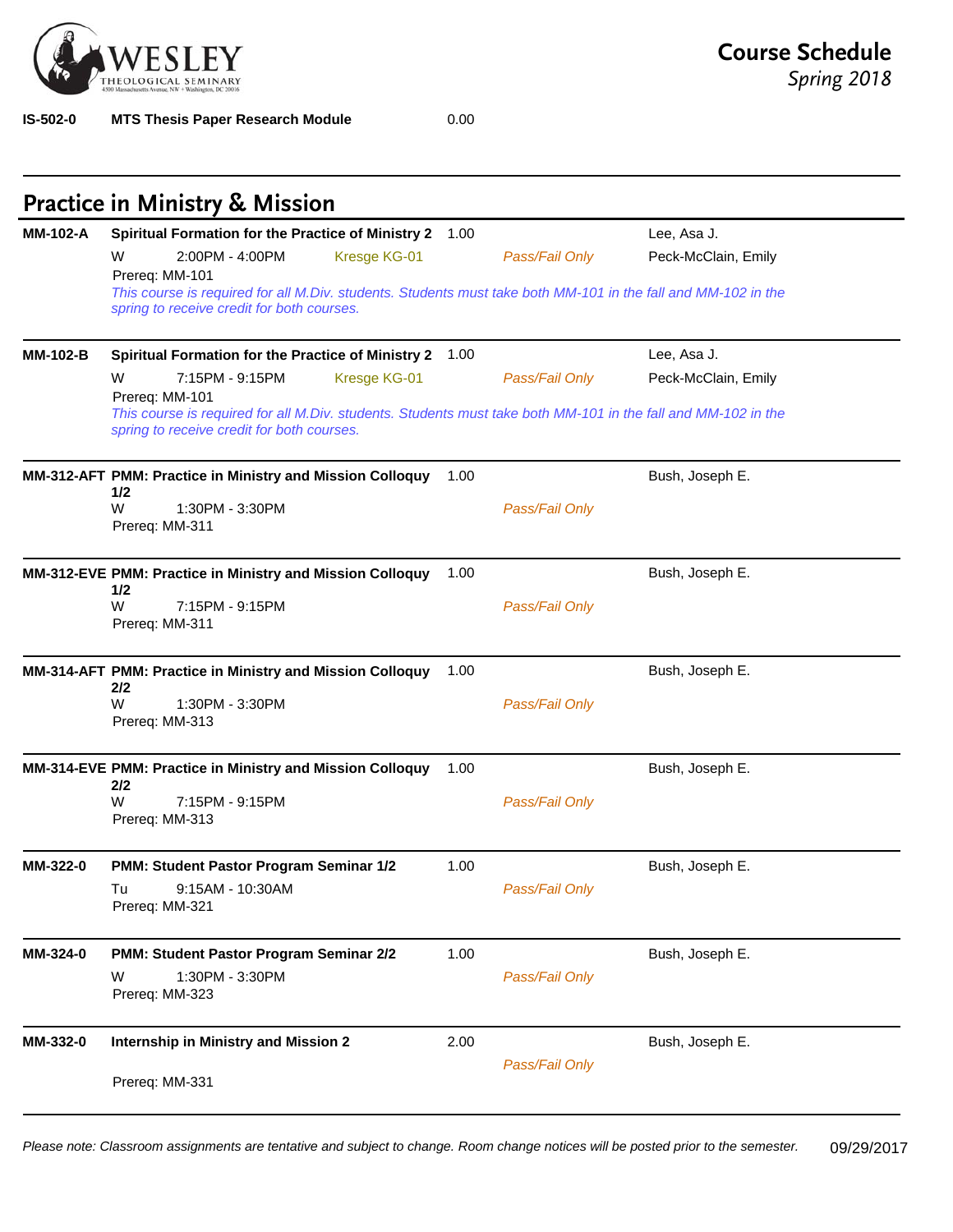

**IS-502-0 MTS Thesis Paper Research Module** 0.00

*Spring 2018*

|                 | Spiritual Formation for the Practice of Ministry 2 1.00                                                                                                     |      |                | Lee, Asa J.         |
|-----------------|-------------------------------------------------------------------------------------------------------------------------------------------------------------|------|----------------|---------------------|
|                 | W<br>2:00PM - 4:00PM<br>Kresge KG-01<br>Prereq: MM-101                                                                                                      |      | Pass/Fail Only | Peck-McClain, Emily |
|                 | This course is required for all M.Div. students. Students must take both MM-101 in the fall and MM-102 in the<br>spring to receive credit for both courses. |      |                |                     |
| <b>MM-102-B</b> | Spiritual Formation for the Practice of Ministry 2 1.00                                                                                                     |      |                | Lee, Asa J.         |
|                 | W<br>7:15PM - 9:15PM<br>Kresge KG-01<br>Prereq: MM-101                                                                                                      |      | Pass/Fail Only | Peck-McClain, Emily |
|                 | This course is required for all M.Div. students. Students must take both MM-101 in the fall and MM-102 in the<br>spring to receive credit for both courses. |      |                |                     |
|                 | MM-312-AFT PMM: Practice in Ministry and Mission Colloquy<br>1/2                                                                                            | 1.00 |                | Bush, Joseph E.     |
|                 | W<br>1:30PM - 3:30PM<br>Prereq: MM-311                                                                                                                      |      | Pass/Fail Only |                     |
|                 |                                                                                                                                                             |      |                |                     |
|                 | MM-312-EVE PMM: Practice in Ministry and Mission Colloquy<br>1/2                                                                                            | 1.00 |                | Bush, Joseph E.     |
|                 | W<br>7:15PM - 9:15PM<br>Prereq: MM-311                                                                                                                      |      | Pass/Fail Only |                     |
|                 | MM-314-AFT PMM: Practice in Ministry and Mission Colloquy                                                                                                   | 1.00 |                | Bush, Joseph E.     |
|                 | 2/2<br>W<br>1:30PM - 3:30PM<br>Prereq: MM-313                                                                                                               |      | Pass/Fail Only |                     |
|                 | MM-314-EVE PMM: Practice in Ministry and Mission Colloquy                                                                                                   | 1.00 |                | Bush, Joseph E.     |
|                 | 2/2<br>W<br>7:15PM - 9:15PM<br>Prereq: MM-313                                                                                                               |      | Pass/Fail Only |                     |
| MM-322-0        | PMM: Student Pastor Program Seminar 1/2                                                                                                                     | 1.00 |                | Bush, Joseph E.     |
|                 | Tu<br>9:15AM - 10:30AM<br>Prereq: MM-321                                                                                                                    |      | Pass/Fail Only |                     |
| MM-324-0        | PMM: Student Pastor Program Seminar 2/2                                                                                                                     | 1.00 |                | Bush, Joseph E.     |
|                 | W<br>1:30PM - 3:30PM<br>Prereq: MM-323                                                                                                                      |      | Pass/Fail Only |                     |
|                 |                                                                                                                                                             |      |                |                     |
| MM-332-0        | <b>Internship in Ministry and Mission 2</b>                                                                                                                 | 2.00 |                | Bush, Joseph E.     |

*Please note: Classroom assignments are tentative and subject to change. Room change notices will be posted prior to the semester.* 09/29/2017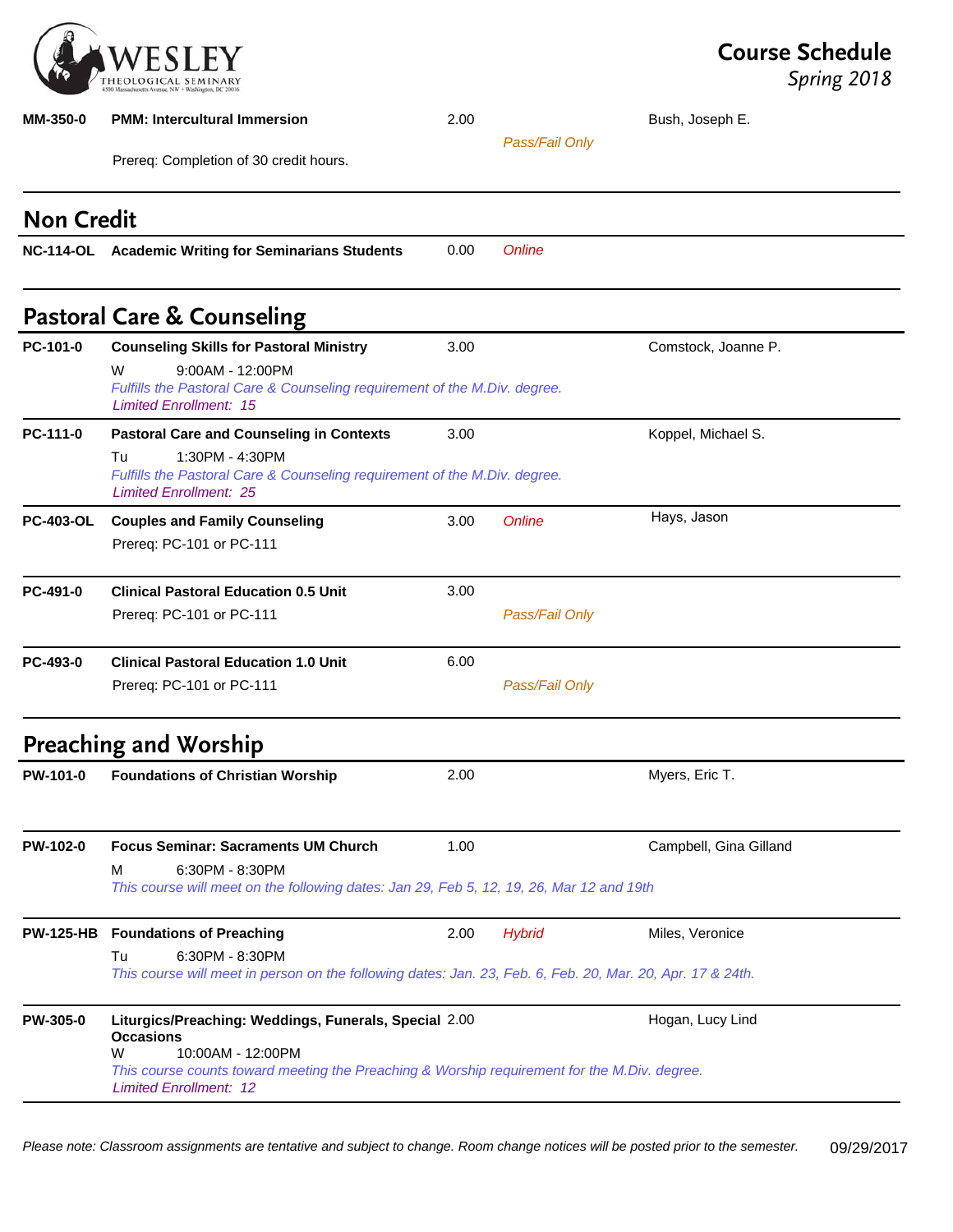

| <b>MM-350-0</b>   | <b>PMM: Intercultural Immersion</b>                                                                                                                                                                                                  | 2.00 |                | Bush, Joseph E.        |
|-------------------|--------------------------------------------------------------------------------------------------------------------------------------------------------------------------------------------------------------------------------------|------|----------------|------------------------|
|                   | Prereq: Completion of 30 credit hours.                                                                                                                                                                                               |      | Pass/Fail Only |                        |
| <b>Non Credit</b> |                                                                                                                                                                                                                                      |      |                |                        |
|                   | NC-114-OL Academic Writing for Seminarians Students                                                                                                                                                                                  | 0.00 | Online         |                        |
|                   | <b>Pastoral Care &amp; Counseling</b>                                                                                                                                                                                                |      |                |                        |
| PC-101-0          | <b>Counseling Skills for Pastoral Ministry</b>                                                                                                                                                                                       | 3.00 |                | Comstock, Joanne P.    |
|                   | W<br>9:00AM - 12:00PM<br>Fulfills the Pastoral Care & Counseling requirement of the M.Div. degree.<br><b>Limited Enrollment: 15</b>                                                                                                  |      |                |                        |
| PC-111-0          | <b>Pastoral Care and Counseling in Contexts</b>                                                                                                                                                                                      | 3.00 |                | Koppel, Michael S.     |
|                   | 1:30PM - 4:30PM<br>Tu<br>Fulfills the Pastoral Care & Counseling requirement of the M.Div. degree.<br><b>Limited Enrollment: 25</b>                                                                                                  |      |                |                        |
| <b>PC-403-OL</b>  | <b>Couples and Family Counseling</b>                                                                                                                                                                                                 | 3.00 | Online         | Hays, Jason            |
|                   | Prereq: PC-101 or PC-111                                                                                                                                                                                                             |      |                |                        |
| PC-491-0          | <b>Clinical Pastoral Education 0.5 Unit</b>                                                                                                                                                                                          | 3.00 |                |                        |
|                   | Prereq: PC-101 or PC-111                                                                                                                                                                                                             |      | Pass/Fail Only |                        |
| PC-493-0          | <b>Clinical Pastoral Education 1.0 Unit</b>                                                                                                                                                                                          | 6.00 |                |                        |
|                   | Prereq: PC-101 or PC-111                                                                                                                                                                                                             |      | Pass/Fail Only |                        |
|                   | <b>Preaching and Worship</b>                                                                                                                                                                                                         |      |                |                        |
| PW-101-0          | <b>Foundations of Christian Worship</b>                                                                                                                                                                                              | 2.00 |                | Myers, Eric T.         |
| PW-102-0          | <b>Focus Seminar: Sacraments UM Church</b>                                                                                                                                                                                           | 1.00 |                | Campbell, Gina Gilland |
|                   | 6:30PM - 8:30PM<br>м<br>This course will meet on the following dates: Jan 29, Feb 5, 12, 19, 26, Mar 12 and 19th                                                                                                                     |      |                |                        |
| <b>PW-125-HB</b>  | <b>Foundations of Preaching</b>                                                                                                                                                                                                      | 2.00 | <b>Hybrid</b>  | Miles, Veronice        |
|                   | 6:30PM - 8:30PM<br>Tu<br>This course will meet in person on the following dates: Jan. 23, Feb. 6, Feb. 20, Mar. 20, Apr. 17 & 24th.                                                                                                  |      |                |                        |
| <b>PW-305-0</b>   | Liturgics/Preaching: Weddings, Funerals, Special 2.00<br><b>Occasions</b><br>W<br>10:00AM - 12:00PM<br>This course counts toward meeting the Preaching & Worship requirement for the M.Div. degree.<br><b>Limited Enrollment: 12</b> |      |                | Hogan, Lucy Lind       |

*Please note: Classroom assignments are tentative and subject to change. Room change notices will be posted prior to the semester.* 09/29/2017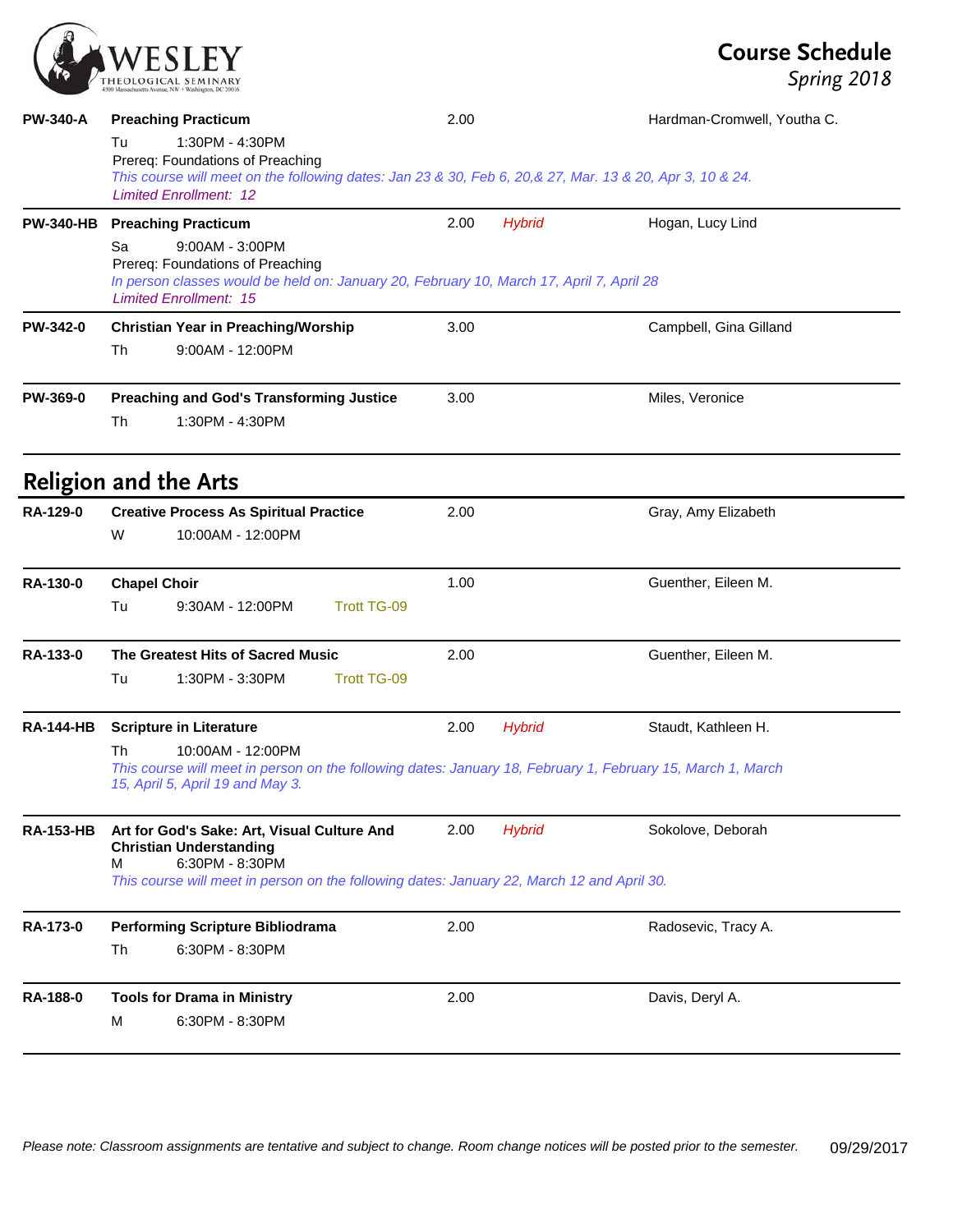

# **Course Schedule**

| <b>PW-340-A</b>  | <b>Preaching Practicum</b><br>1:30PM - 4:30PM<br>Tu<br>Prereq: Foundations of Preaching<br>This course will meet on the following dates: Jan 23 & 30, Feb 6, 20, & 27, Mar. 13 & 20, Apr 3, 10 & 24.<br><b>Limited Enrollment: 12</b> | 2.00 |               | Hardman-Cromwell, Youtha C. |
|------------------|---------------------------------------------------------------------------------------------------------------------------------------------------------------------------------------------------------------------------------------|------|---------------|-----------------------------|
| <b>PW-340-HB</b> | <b>Preaching Practicum</b><br>9:00AM - 3:00PM<br>Sa<br>Prereq: Foundations of Preaching<br>In person classes would be held on: January 20, February 10, March 17, April 7, April 28<br><b>Limited Enrollment: 15</b>                  | 2.00 | <b>Hybrid</b> | Hogan, Lucy Lind            |
| PW-342-0         | <b>Christian Year in Preaching/Worship</b><br>9:00AM - 12:00PM<br>Th                                                                                                                                                                  | 3.00 |               | Campbell, Gina Gilland      |
| PW-369-0         | <b>Preaching and God's Transforming Justice</b><br><b>Th</b><br>1:30PM - 4:30PM                                                                                                                                                       | 3.00 |               | Miles, Veronice             |
|                  | <b>Religion and the Arts</b>                                                                                                                                                                                                          |      |               |                             |
| RA-129-0         | <b>Creative Process As Spiritual Practice</b><br>W<br>10:00AM - 12:00PM                                                                                                                                                               | 2.00 |               | Gray, Amy Elizabeth         |
| RA-130-0         | <b>Chapel Choir</b><br>9:30AM - 12:00PM<br><b>Trott TG-09</b><br>Tu                                                                                                                                                                   | 1.00 |               | Guenther, Eileen M.         |
| RA-133-0         | The Greatest Hits of Sacred Music<br><b>Trott TG-09</b><br>Tu<br>1:30PM - 3:30PM                                                                                                                                                      | 2.00 |               | Guenther, Eileen M.         |
| <b>RA-144-HB</b> | <b>Scripture in Literature</b><br>10:00AM - 12:00PM<br>Th<br>This course will meet in person on the following dates: January 18, February 1, February 15, March 1, March<br>15, April 5, April 19 and May 3.                          | 2.00 | <b>Hybrid</b> | Staudt, Kathleen H.         |
| RA-153-HB        | Art for God's Sake: Art, Visual Culture And<br><b>Christian Understanding</b><br>6:30PM - 8:30PM<br>м<br>This course will meet in person on the following dates: January 22, March 12 and April 30.                                   | 2.00 | <b>Hybrid</b> | Sokolove, Deborah           |
| RA-173-0         | <b>Performing Scripture Bibliodrama</b><br>6:30PM - 8:30PM<br>Th                                                                                                                                                                      | 2.00 |               | Radosevic, Tracy A.         |
| RA-188-0         | <b>Tools for Drama in Ministry</b><br>6:30PM - 8:30PM<br>M                                                                                                                                                                            | 2.00 |               | Davis, Deryl A.             |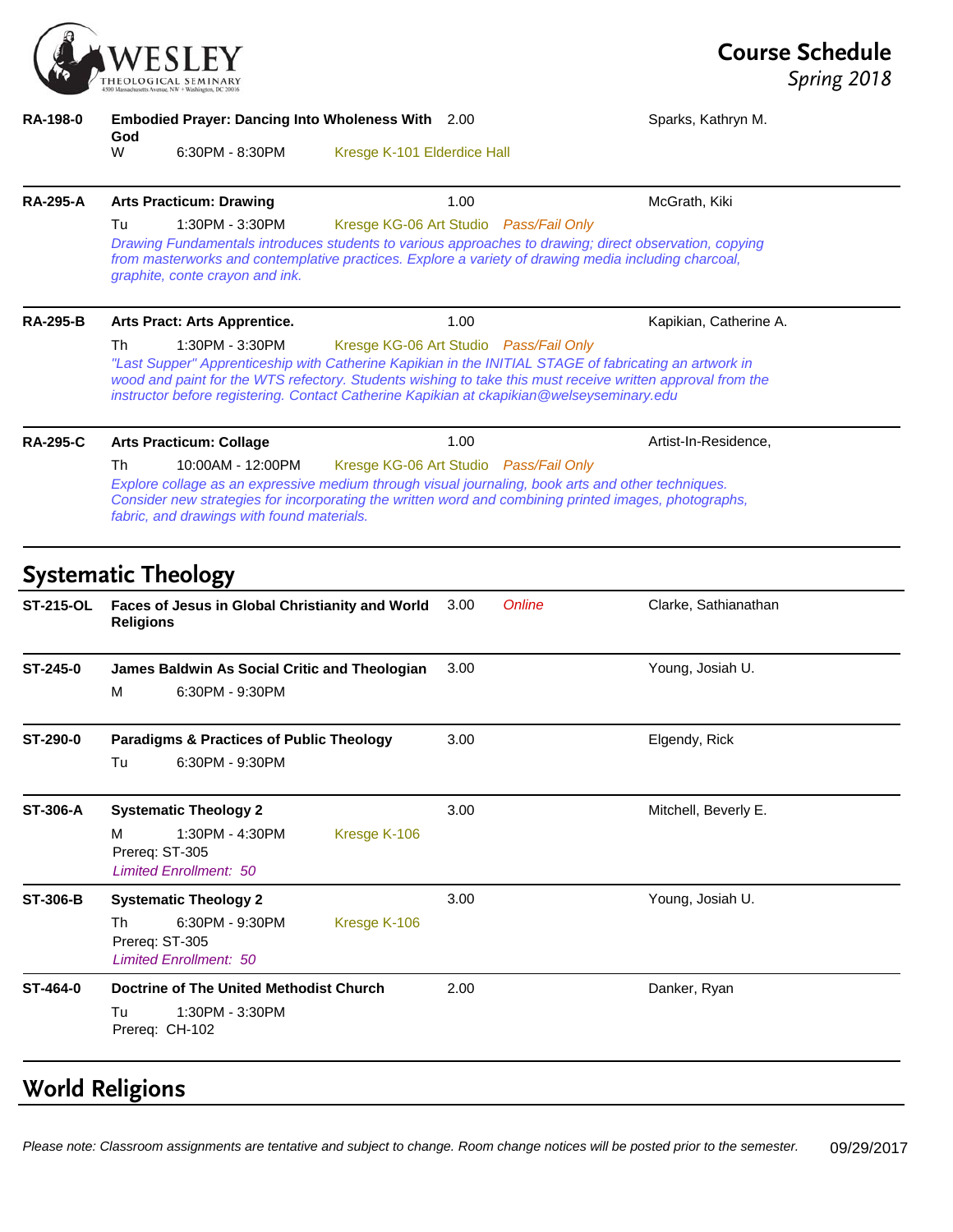| EOLOGICAL SEMINARY<br>Τł                        |
|-------------------------------------------------|
| Massachusetts Avenue, NW + Washington, DC 20016 |

**RA-198-0 Embodied Prayer: Dancing Into Wholeness With God** Sparks, Kathryn M. 6:30PM - 8:30PM Kresge K-101 Elderdice Hall **RA-295-A Arts Practicum: Drawing** 1.00 McGrath, Kiki Tu 1:30PM - 3:30PM Kresge KG-06 Art Studio *Pass/Fail Only Drawing Fundamentals introduces students to various approaches to drawing; direct observation, copying*  from masterworks and contemplative practices. Explore a variety of drawing media including charcoal, *graphite, conte crayon and ink.* RA-295-B Arts Pract: Arts Apprentice. **1.00** According the Kapikian, Catherine A. Th 1:30PM - 3:30PM Kresge KG-06 Art Studio *Pass/Fail Only "Last Supper" Apprenticeship with Catherine Kapikian in the INITIAL STAGE of fabricating an artwork in wood and paint for the WTS refectory. Students wishing to take this must receive written approval from the instructor before registering. Contact Catherine Kapikian at ckapikian@welseyseminary.edu* **RA-295-C Arts Practicum: Collage** 1.00 1.00 Artist-In-Residence, Th 10:00AM - 12:00PM Kresge KG-06 Art Studio *Pass/Fail Only Explore collage as an expressive medium through visual journaling, book arts and other techniques. Consider new strategies for incorporating the written word and combining printed images, photographs, fabric, and drawings with found materials.* **Systematic Theology ST-215-OL Faces of Jesus in Global Christianity and World Religions** 3.00 *Online* Clarke, Sathianathan **ST-245-0 James Baldwin As Social Critic and Theologian** 3.00 Young, Josiah U. M 6:30PM - 9:30PM **ST-290-0 Paradigms & Practices of Public Theology** 3.00 Elgendy, Rick Tu 6:30PM - 9:30PM **ST-306-A Systematic Theology 2** 3.00 Mitchell, Beverly E. M 1:30PM - 4:30PM Kresge K-106 Prereq: ST-305 *Limited Enrollment: 50* **ST-306-B Systematic Theology 2** 3.00 3.00 Young, Josiah U. Th 6:30PM - 9:30PM Kresge K-106 Prereq: ST-305 *Limited Enrollment: 50* **ST-464-0 Doctrine of The United Methodist Church**  $2.00$  **Danker, Ryan Danker, Ryan** Tu 1:30PM - 3:30PM Prereq: CH-102

# **World Religions**

*Please note: Classroom assignments are tentative and subject to change. Room change notices will be posted prior to the semester.* 09/29/2017